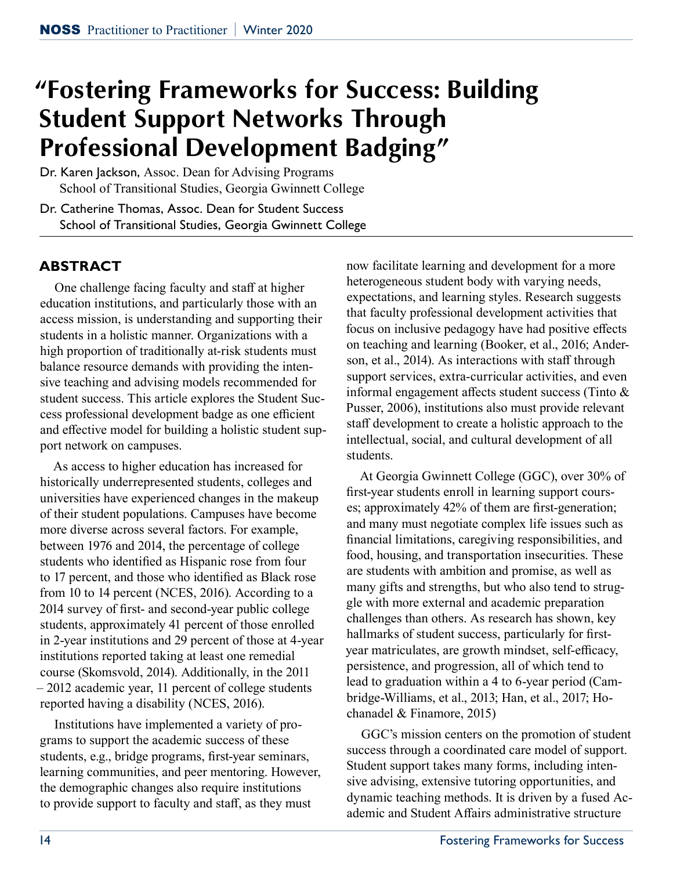# **"Fostering Frameworks for Success: Building Student Support Networks Through Professional Development Badging"**

Dr. Karen Jackson, Assoc. Dean for Advising Programs School of Transitional Studies, Georgia Gwinnett College

Dr. Catherine Thomas, Assoc. Dean for Student Success School of Transitional Studies, Georgia Gwinnett College

## **ABSTRACT**

One challenge facing faculty and staff at higher education institutions, and particularly those with an access mission, is understanding and supporting their students in a holistic manner. Organizations with a high proportion of traditionally at-risk students must balance resource demands with providing the intensive teaching and advising models recommended for student success. This article explores the Student Success professional development badge as one efficient and effective model for building a holistic student support network on campuses.

As access to higher education has increased for historically underrepresented students, colleges and universities have experienced changes in the makeup of their student populations. Campuses have become more diverse across several factors. For example, between 1976 and 2014, the percentage of college students who identified as Hispanic rose from four to 17 percent, and those who identified as Black rose from 10 to 14 percent (NCES, 2016). According to a 2014 survey of first- and second-year public college students, approximately 41 percent of those enrolled in 2-year institutions and 29 percent of those at 4-year institutions reported taking at least one remedial course (Skomsvold, 2014). Additionally, in the 2011 – 2012 academic year, 11 percent of college students reported having a disability (NCES, 2016).

Institutions have implemented a variety of programs to support the academic success of these students, e.g., bridge programs, first-year seminars, learning communities, and peer mentoring. However, the demographic changes also require institutions to provide support to faculty and staff, as they must

now facilitate learning and development for a more heterogeneous student body with varying needs, expectations, and learning styles. Research suggests that faculty professional development activities that focus on inclusive pedagogy have had positive effects on teaching and learning (Booker, et al., 2016; Anderson, et al., 2014). As interactions with staff through support services, extra-curricular activities, and even informal engagement affects student success (Tinto & Pusser, 2006), institutions also must provide relevant staff development to create a holistic approach to the intellectual, social, and cultural development of all students.

At Georgia Gwinnett College (GGC), over 30% of first-year students enroll in learning support courses; approximately 42% of them are first-generation; and many must negotiate complex life issues such as financial limitations, caregiving responsibilities, and food, housing, and transportation insecurities. These are students with ambition and promise, as well as many gifts and strengths, but who also tend to struggle with more external and academic preparation challenges than others. As research has shown, key hallmarks of student success, particularly for firstyear matriculates, are growth mindset, self-efficacy, persistence, and progression, all of which tend to lead to graduation within a 4 to 6-year period (Cambridge-Williams, et al., 2013; Han, et al., 2017; Hochanadel & Finamore, 2015)

GGC's mission centers on the promotion of student success through a coordinated care model of support. Student support takes many forms, including intensive advising, extensive tutoring opportunities, and dynamic teaching methods. It is driven by a fused Academic and Student Affairs administrative structure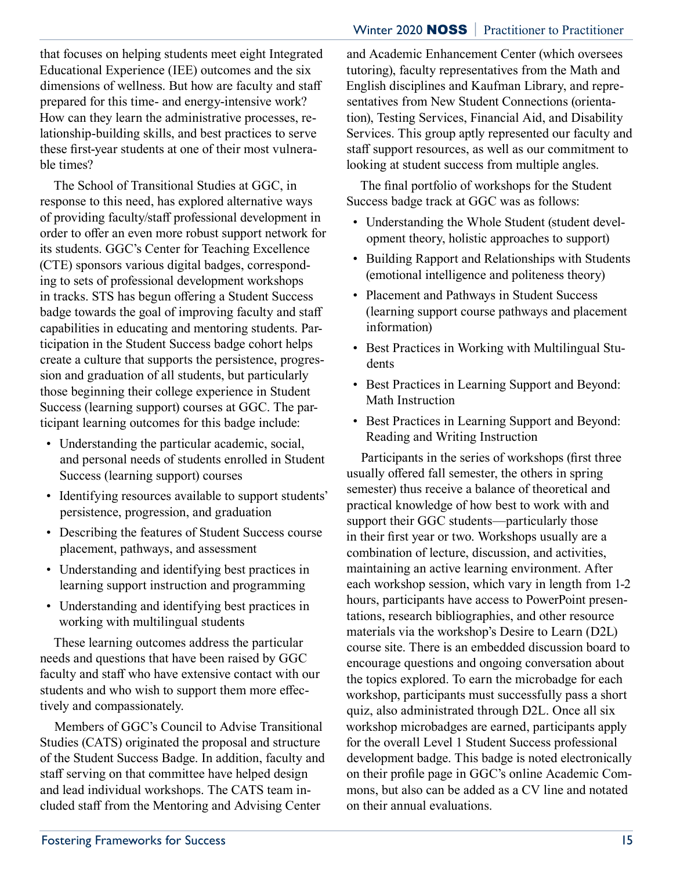#### Winter 2020 NOSS **|** Practitioner to Practitioner

that focuses on helping students meet eight Integrated Educational Experience (IEE) outcomes and the six dimensions of wellness. But how are faculty and staff prepared for this time- and energy-intensive work? How can they learn the administrative processes, relationship-building skills, and best practices to serve these first-year students at one of their most vulnerable times?

The School of Transitional Studies at GGC, in response to this need, has explored alternative ways of providing faculty/staff professional development in order to offer an even more robust support network for its students. GGC's Center for Teaching Excellence (CTE) sponsors various digital badges, corresponding to sets of professional development workshops in tracks. STS has begun offering a Student Success badge towards the goal of improving faculty and staff capabilities in educating and mentoring students. Participation in the Student Success badge cohort helps create a culture that supports the persistence, progression and graduation of all students, but particularly those beginning their college experience in Student Success (learning support) courses at GGC. The participant learning outcomes for this badge include:

- Understanding the particular academic, social, and personal needs of students enrolled in Student Success (learning support) courses
- Identifying resources available to support students' persistence, progression, and graduation
- Describing the features of Student Success course placement, pathways, and assessment
- Understanding and identifying best practices in learning support instruction and programming
- Understanding and identifying best practices in working with multilingual students

These learning outcomes address the particular needs and questions that have been raised by GGC faculty and staff who have extensive contact with our students and who wish to support them more effectively and compassionately.

Members of GGC's Council to Advise Transitional Studies (CATS) originated the proposal and structure of the Student Success Badge. In addition, faculty and staff serving on that committee have helped design and lead individual workshops. The CATS team included staff from the Mentoring and Advising Center

and Academic Enhancement Center (which oversees tutoring), faculty representatives from the Math and English disciplines and Kaufman Library, and representatives from New Student Connections (orientation), Testing Services, Financial Aid, and Disability Services. This group aptly represented our faculty and staff support resources, as well as our commitment to looking at student success from multiple angles.

The final portfolio of workshops for the Student Success badge track at GGC was as follows:

- Understanding the Whole Student (student development theory, holistic approaches to support)
- Building Rapport and Relationships with Students (emotional intelligence and politeness theory)
- Placement and Pathways in Student Success (learning support course pathways and placement information)
- Best Practices in Working with Multilingual Students
- Best Practices in Learning Support and Beyond: Math Instruction
- Best Practices in Learning Support and Beyond: Reading and Writing Instruction

Participants in the series of workshops (first three usually offered fall semester, the others in spring semester) thus receive a balance of theoretical and practical knowledge of how best to work with and support their GGC students—particularly those in their first year or two. Workshops usually are a combination of lecture, discussion, and activities, maintaining an active learning environment. After each workshop session, which vary in length from 1-2 hours, participants have access to PowerPoint presentations, research bibliographies, and other resource materials via the workshop's Desire to Learn (D2L) course site. There is an embedded discussion board to encourage questions and ongoing conversation about the topics explored. To earn the microbadge for each workshop, participants must successfully pass a short quiz, also administrated through D2L. Once all six workshop microbadges are earned, participants apply for the overall Level 1 Student Success professional development badge. This badge is noted electronically on their profile page in GGC's online Academic Commons, but also can be added as a CV line and notated on their annual evaluations.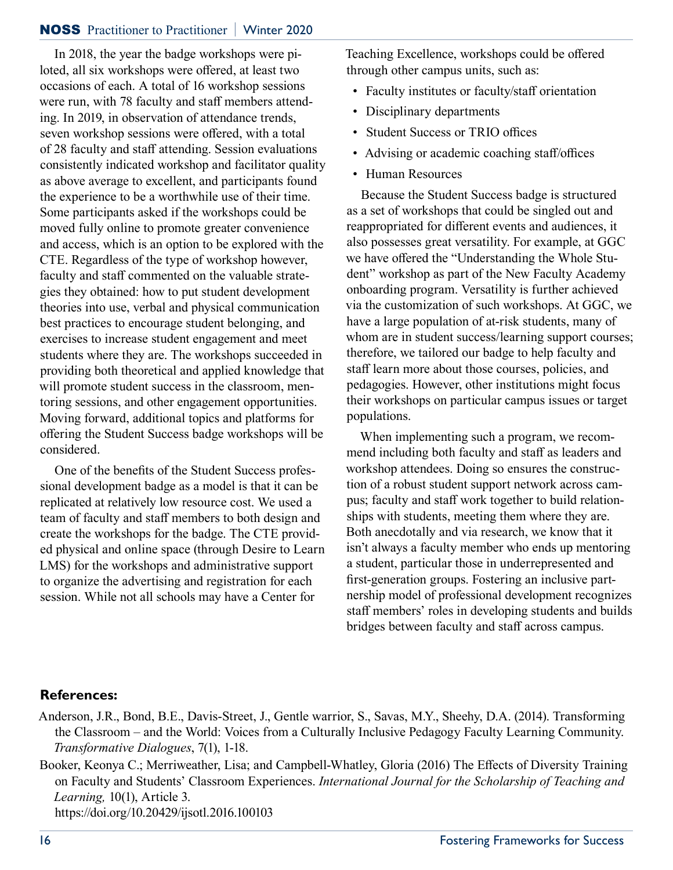#### NOSS Practitioner to Practitioner **|** Winter 2020

In 2018, the year the badge workshops were piloted, all six workshops were offered, at least two occasions of each. A total of 16 workshop sessions were run, with 78 faculty and staff members attending. In 2019, in observation of attendance trends, seven workshop sessions were offered, with a total of 28 faculty and staff attending. Session evaluations consistently indicated workshop and facilitator quality as above average to excellent, and participants found the experience to be a worthwhile use of their time. Some participants asked if the workshops could be moved fully online to promote greater convenience and access, which is an option to be explored with the CTE. Regardless of the type of workshop however, faculty and staff commented on the valuable strategies they obtained: how to put student development theories into use, verbal and physical communication best practices to encourage student belonging, and exercises to increase student engagement and meet students where they are. The workshops succeeded in providing both theoretical and applied knowledge that will promote student success in the classroom, mentoring sessions, and other engagement opportunities. Moving forward, additional topics and platforms for offering the Student Success badge workshops will be considered.

One of the benefits of the Student Success professional development badge as a model is that it can be replicated at relatively low resource cost. We used a team of faculty and staff members to both design and create the workshops for the badge. The CTE provided physical and online space (through Desire to Learn LMS) for the workshops and administrative support to organize the advertising and registration for each session. While not all schools may have a Center for

Teaching Excellence, workshops could be offered through other campus units, such as:

- Faculty institutes or faculty/staff orientation
- Disciplinary departments
- Student Success or TRIO offices
- Advising or academic coaching staff/offices
- Human Resources

Because the Student Success badge is structured as a set of workshops that could be singled out and reappropriated for different events and audiences, it also possesses great versatility. For example, at GGC we have offered the "Understanding the Whole Student" workshop as part of the New Faculty Academy onboarding program. Versatility is further achieved via the customization of such workshops. At GGC, we have a large population of at-risk students, many of whom are in student success/learning support courses; therefore, we tailored our badge to help faculty and staff learn more about those courses, policies, and pedagogies. However, other institutions might focus their workshops on particular campus issues or target populations.

When implementing such a program, we recommend including both faculty and staff as leaders and workshop attendees. Doing so ensures the construction of a robust student support network across campus; faculty and staff work together to build relationships with students, meeting them where they are. Both anecdotally and via research, we know that it isn't always a faculty member who ends up mentoring a student, particular those in underrepresented and first-generation groups. Fostering an inclusive partnership model of professional development recognizes staff members' roles in developing students and builds bridges between faculty and staff across campus.

#### **References:**

- Anderson, J.R., Bond, B.E., Davis-Street, J., Gentle warrior, S., Savas, M.Y., Sheehy, D.A. (2014). Transforming the Classroom – and the World: Voices from a Culturally Inclusive Pedagogy Faculty Learning Community. *Transformative Dialogues*, 7(1), 1-18.
- Booker, Keonya C.; Merriweather, Lisa; and Campbell-Whatley, Gloria (2016) The Effects of Diversity Training on Faculty and Students' Classroom Experiences. *International Journal for the Scholarship of Teaching and Learning,* 10(1), Article 3. https://doi.org/10.20429/ijsotl.2016.100103